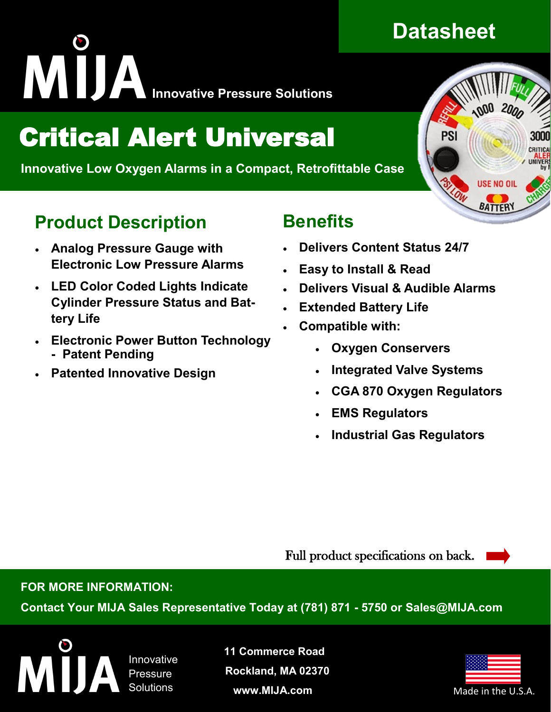# **INNOVATION INTERNATIONAL PRESSURE SOLUTIONS**

# Critical Alert Universal

 **Innovative Low Oxygen Alarms in a Compact, Retrofittable Case**

### **Product Description**

- **Analog Pressure Gauge with Electronic Low Pressure Alarms**
- **LED Color Coded Lights Indicate Cylinder Pressure Status and Battery Life**
- **Electronic Power Button Technology - Patent Pending**
- **Patented Innovative Design**

### **Benefits**

- **Delivers Content Status 24/7**
- **Easy to Install & Read**
- **Delivers Visual & Audible Alarms**
- **Extended Battery Life**
- **Compatible with:** 
	- **Oxygen Conservers**
	- **Integrated Valve Systems**
	- **CGA 870 Oxygen Regulators**
	- **EMS Regulators**
	- **Industrial Gas Regulators**

Full product specifications on back.

#### **FOR MORE INFORMATION:**

**Contact Your MIJA Sales Representative Today at (781) 871 - 5750 or Sales@MIJA.com**

Innovative **Pressure** Solutions

**11 Commerce Road Rockland, MA 02370 www.MIJA.com**





**USE NO OI** 

**BATTER**